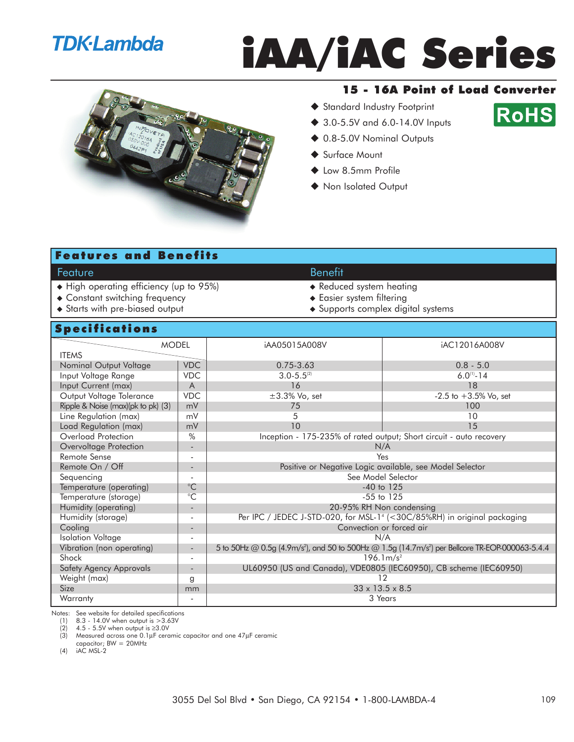### **TDK**·Lambda

## iAA/iAC Series



#### 15 - 16A Point of Load Converter

Standard Industry Footprint



- ◆ 3.0-5.5V and 6.0-14.0V Inputs
- ◆ 0.8-5.0V Nominal Outputs
- ◆ Surface Mount
- ◆ Low 8.5mm Profile
- ◆ Non Isolated Output

#### Features and Benefits

#### Feature **Benefit**

- ◆ High operating efficiency (up to 95%) <br>◆ Reduced system heating
- ◆ Constant switching frequency <br>● Easier system filtering
- Starts with pre-biased output Supports complex digital systems

#### Specifications

| <b>Specifications</b>              |                              |                                                                                      |                                                                                                                          |  |  |
|------------------------------------|------------------------------|--------------------------------------------------------------------------------------|--------------------------------------------------------------------------------------------------------------------------|--|--|
| <b>MODEL</b>                       |                              | iAA05015A008V                                                                        | iAC12016A008V                                                                                                            |  |  |
| <b>ITEMS</b>                       |                              |                                                                                      |                                                                                                                          |  |  |
| Nominal Output Voltage             | <b>VDC</b>                   | $0.75 - 3.63$                                                                        | $0.8 - 5.0$                                                                                                              |  |  |
| Input Voltage Range                | <b>VDC</b>                   | $3.0 - 5.5^{(2)}$                                                                    | $6.0^{(1)} - 14$                                                                                                         |  |  |
| Input Current (max)                | $\overline{A}$               | 16                                                                                   | 18                                                                                                                       |  |  |
| Output Voltage Tolerance           | <b>VDC</b>                   | $\pm 3.3\%$ Vo, set                                                                  | $-2.5$ to $+3.5%$ Vo, set                                                                                                |  |  |
| Ripple & Noise (max)(pk to pk) (3) | mV                           | 75                                                                                   | 100                                                                                                                      |  |  |
| Line Regulation (max)              | mV                           | 5                                                                                    | 10                                                                                                                       |  |  |
| Load Regulation (max)              | mV                           | 10                                                                                   | 15                                                                                                                       |  |  |
| Overload Protection                | %                            | Inception - 175-235% of rated output; Short circuit - auto recovery                  |                                                                                                                          |  |  |
| Overvoltage Protection             | $\qquad \qquad \blacksquare$ | N/A                                                                                  |                                                                                                                          |  |  |
| Remote Sense                       | $\overline{\phantom{a}}$     | Yes                                                                                  |                                                                                                                          |  |  |
| Remote On / Off                    | $\overline{\phantom{a}}$     | Positive or Negative Logic available, see Model Selector                             |                                                                                                                          |  |  |
| Sequencing                         | ٠                            | See Model Selector                                                                   |                                                                                                                          |  |  |
| Temperature (operating)            | $^{\circ}C$                  | $-40$ to $125$                                                                       |                                                                                                                          |  |  |
| Temperature (storage)              | $\overline{C}$               | $-55$ to $125$                                                                       |                                                                                                                          |  |  |
| Humidity (operating)               | $\overline{\phantom{m}}$     | 20-95% RH Non condensing                                                             |                                                                                                                          |  |  |
| Humidity (storage)                 | $\overline{a}$               | Per IPC / JEDEC J-STD-020, for MSL-1 <sup>4</sup> (<30C/85%RH) in original packaging |                                                                                                                          |  |  |
| Cooling                            | $\qquad \qquad \blacksquare$ | Convection or forced air                                                             |                                                                                                                          |  |  |
| <b>Isolation Voltage</b>           |                              | N/A                                                                                  |                                                                                                                          |  |  |
| Vibration (non operating)          | $\overline{a}$               |                                                                                      | 5 to 50Hz @ 0.5g (4.9m/s <sup>2</sup> ), and 50 to 500Hz @ 1.5g (14.7m/s <sup>2</sup> ) per Bellcore TR-EOP-000063-5.4.4 |  |  |
| Shock                              | $\overline{a}$               |                                                                                      | $196.1 \text{m/s}^2$                                                                                                     |  |  |
| Safety Agency Approvals            | $\overline{\phantom{a}}$     | UL60950 (US and Canada), VDE0805 (IEC60950), CB scheme (IEC60950)                    |                                                                                                                          |  |  |
| Weight (max)                       | g                            | 12                                                                                   |                                                                                                                          |  |  |
| <b>Size</b>                        | mm                           |                                                                                      | $33 \times 13.5 \times 8.5$                                                                                              |  |  |
| Warranty                           | $\overline{a}$               |                                                                                      | 3 Years                                                                                                                  |  |  |

Notes: See website for detailed specifications

(1)  $8.3 - 14.0V$  when output is  $>3.63V$ <br>(2)  $4.5 - 5.5V$  when output is  $\geq 3.0V$ 

 $(2)$  4.5 - 5.5V when output is ≥3.0V<br>(3) Measured across one 0.1µF cera

Measured across one 0.1µF ceramic capacitor and one 47µF ceramic

capacitor; BW = 20MHz

(4) iAC MSL-2